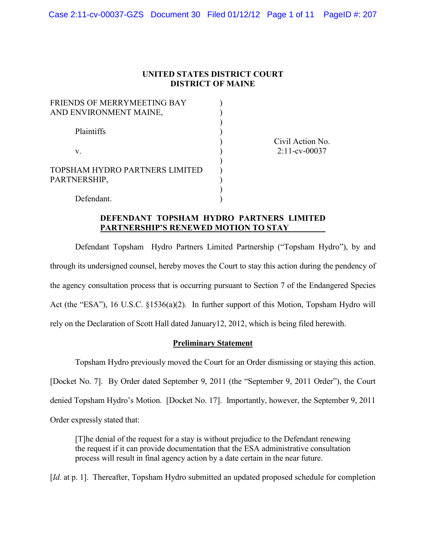# **UNITED STATES DISTRICT COURT DISTRICT OF MAINE**

| FRIENDS OF MERRYMEETING BAY<br>AND ENVIRONMENT MAINE, |  |
|-------------------------------------------------------|--|
| Plaintiffs                                            |  |
| V.                                                    |  |
| TOPSHAM HYDRO PARTNERS LIMITED<br>PARTNERSHIP,        |  |
| Defendant.                                            |  |

Civil Action No. 2:11-cv-00037

# **DEFENDANT TOPSHAM HYDRO PARTNERS LIMITED PARTNERSHIP'S RENEWED MOTION TO STAY**

Defendant Topsham Hydro Partners Limited Partnership ("Topsham Hydro"), by and through its undersigned counsel, hereby moves the Court to stay this action during the pendency of the agency consultation process that is occurring pursuant to Section 7 of the Endangered Species Act (the "ESA"), 16 U.S.C. §1536(a)(2)*.* In further support of this Motion, Topsham Hydro will rely on the Declaration of Scott Hall dated January12, 2012, which is being filed herewith.

# **Preliminary Statement**

Topsham Hydro previously moved the Court for an Order dismissing or staying this action. [Docket No. 7]. By Order dated September 9, 2011 (the "September 9, 2011 Order"), the Court denied Topsham Hydro's Motion. [Docket No. 17]. Importantly, however, the September 9, 2011 Order expressly stated that:

[T]he denial of the request for a stay is without prejudice to the Defendant renewing the request if it can provide documentation that the ESA administrative consultation process will result in final agency action by a date certain in the near future.

[*Id.* at p. 1]. Thereafter, Topsham Hydro submitted an updated proposed schedule for completion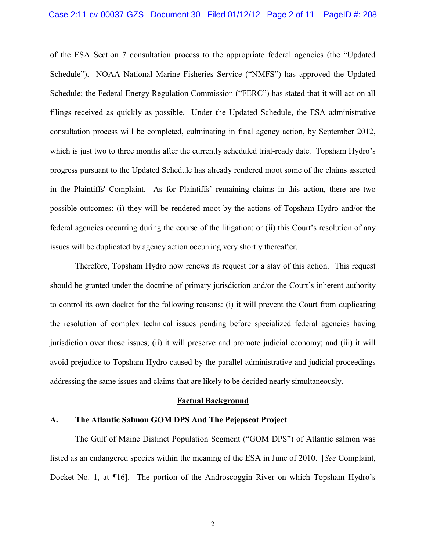## Case 2:11-cv-00037-GZS Document 30 Filed 01/12/12 Page 2 of 11 PageID #: 208

of the ESA Section 7 consultation process to the appropriate federal agencies (the "Updated Schedule"). NOAA National Marine Fisheries Service ("NMFS") has approved the Updated Schedule; the Federal Energy Regulation Commission ("FERC") has stated that it will act on all filings received as quickly as possible. Under the Updated Schedule, the ESA administrative consultation process will be completed, culminating in final agency action, by September 2012, which is just two to three months after the currently scheduled trial-ready date. Topsham Hydro's progress pursuant to the Updated Schedule has already rendered moot some of the claims asserted in the Plaintiffs' Complaint. As for Plaintiffs' remaining claims in this action, there are two possible outcomes: (i) they will be rendered moot by the actions of Topsham Hydro and/or the federal agencies occurring during the course of the litigation; or (ii) this Court's resolution of any issues will be duplicated by agency action occurring very shortly thereafter.

Therefore, Topsham Hydro now renews its request for a stay of this action. This request should be granted under the doctrine of primary jurisdiction and/or the Court's inherent authority to control its own docket for the following reasons: (i) it will prevent the Court from duplicating the resolution of complex technical issues pending before specialized federal agencies having jurisdiction over those issues; (ii) it will preserve and promote judicial economy; and (iii) it will avoid prejudice to Topsham Hydro caused by the parallel administrative and judicial proceedings addressing the same issues and claims that are likely to be decided nearly simultaneously.

### **Factual Background**

### **A. The Atlantic Salmon GOM DPS And The Pejepscot Project**

The Gulf of Maine Distinct Population Segment ("GOM DPS") of Atlantic salmon was listed as an endangered species within the meaning of the ESA in June of 2010. [*See* Complaint, Docket No. 1, at ¶16]. The portion of the Androscoggin River on which Topsham Hydro's

2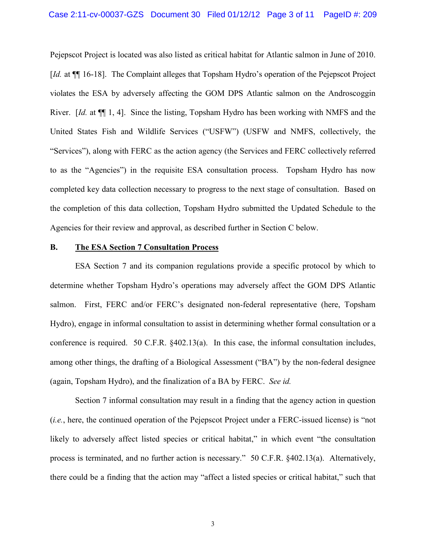Pejepscot Project is located was also listed as critical habitat for Atlantic salmon in June of 2010. [*Id.* at  $\P$ ] 16-18]. The Complaint alleges that Topsham Hydro's operation of the Pejepscot Project violates the ESA by adversely affecting the GOM DPS Atlantic salmon on the Androscoggin River. [*Id.* at ¶¶ 1, 4]. Since the listing, Topsham Hydro has been working with NMFS and the United States Fish and Wildlife Services ("USFW") (USFW and NMFS, collectively, the "Services"), along with FERC as the action agency (the Services and FERC collectively referred to as the "Agencies") in the requisite ESA consultation process. Topsham Hydro has now completed key data collection necessary to progress to the next stage of consultation. Based on the completion of this data collection, Topsham Hydro submitted the Updated Schedule to the Agencies for their review and approval, as described further in Section C below.

# **B. The ESA Section 7 Consultation Process**

ESA Section 7 and its companion regulations provide a specific protocol by which to determine whether Topsham Hydro's operations may adversely affect the GOM DPS Atlantic salmon. First, FERC and/or FERC's designated non-federal representative (here, Topsham Hydro), engage in informal consultation to assist in determining whether formal consultation or a conference is required. 50 C.F.R. §402.13(a). In this case, the informal consultation includes, among other things, the drafting of a Biological Assessment ("BA") by the non-federal designee (again, Topsham Hydro), and the finalization of a BA by FERC. *See id.*

Section 7 informal consultation may result in a finding that the agency action in question (*i.e.*, here, the continued operation of the Pejepscot Project under a FERC-issued license) is "not likely to adversely affect listed species or critical habitat," in which event "the consultation process is terminated, and no further action is necessary." 50 C.F.R. §402.13(a). Alternatively, there could be a finding that the action may "affect a listed species or critical habitat," such that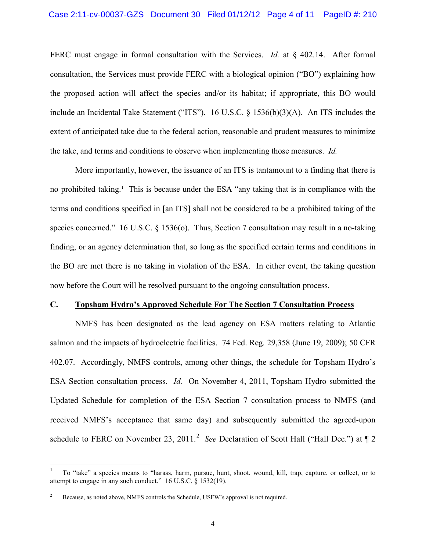FERC must engage in formal consultation with the Services. *Id.* at § 402.14. After formal consultation, the Services must provide FERC with a biological opinion ("BO") explaining how the proposed action will affect the species and/or its habitat; if appropriate, this BO would include an Incidental Take Statement ("ITS"). 16 U.S.C. § 1536(b)(3)(A). An ITS includes the extent of anticipated take due to the federal action, reasonable and prudent measures to minimize the take, and terms and conditions to observe when implementing those measures. *Id.*

More importantly, however, the issuance of an ITS is tantamount to a finding that there is no prohibited taking.<sup>1</sup> This is because under the ESA "any taking that is in compliance with the terms and conditions specified in [an ITS] shall not be considered to be a prohibited taking of the species concerned." 16 U.S.C. § 1536(o). Thus, Section 7 consultation may result in a no-taking finding, or an agency determination that, so long as the specified certain terms and conditions in the BO are met there is no taking in violation of the ESA. In either event, the taking question now before the Court will be resolved pursuant to the ongoing consultation process.

### **C. Topsham Hydro's Approved Schedule For The Section 7 Consultation Process**

NMFS has been designated as the lead agency on ESA matters relating to Atlantic salmon and the impacts of hydroelectric facilities. 74 Fed. Reg. 29,358 (June 19, 2009); 50 CFR 402.07. Accordingly, NMFS controls, among other things, the schedule for Topsham Hydro's ESA Section consultation process. *Id.* On November 4, 2011, Topsham Hydro submitted the Updated Schedule for completion of the ESA Section 7 consultation process to NMFS (and received NMFS's acceptance that same day) and subsequently submitted the agreed-upon schedule to FERC on November 23, 2011.<sup>2</sup> See Declaration of Scott Hall ("Hall Dec.") at  $\llbracket 2$ 

 <sup>1</sup> To "take" a species means to "harass, harm, pursue, hunt, shoot, wound, kill, trap, capture, or collect, or to attempt to engage in any such conduct." 16 U.S.C. § 1532(19).

Because, as noted above, NMFS controls the Schedule, USFW's approval is not required.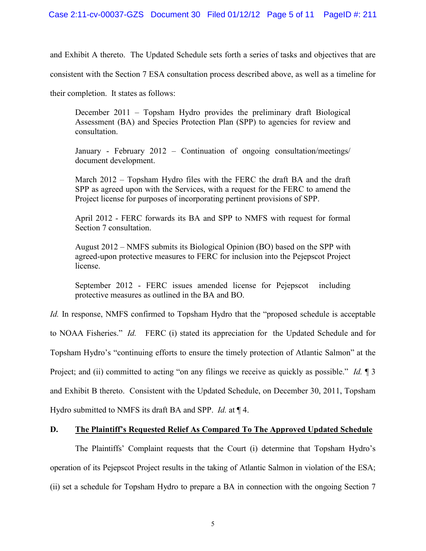and Exhibit A thereto. The Updated Schedule sets forth a series of tasks and objectives that are

consistent with the Section 7 ESA consultation process described above, as well as a timeline for

their completion. It states as follows:

December 2011 – Topsham Hydro provides the preliminary draft Biological Assessment (BA) and Species Protection Plan (SPP) to agencies for review and consultation.

January - February 2012 – Continuation of ongoing consultation/meetings/ document development.

March 2012 – Topsham Hydro files with the FERC the draft BA and the draft SPP as agreed upon with the Services, with a request for the FERC to amend the Project license for purposes of incorporating pertinent provisions of SPP.

April 2012 - FERC forwards its BA and SPP to NMFS with request for formal Section 7 consultation.

August 2012 – NMFS submits its Biological Opinion (BO) based on the SPP with agreed-upon protective measures to FERC for inclusion into the Pejepscot Project license.

September 2012 - FERC issues amended license for Pejepscot including protective measures as outlined in the BA and BO.

*Id.* In response, NMFS confirmed to Topsham Hydro that the "proposed schedule is acceptable"

to NOAA Fisheries." *Id.* FERC (i) stated its appreciation for the Updated Schedule and for

Topsham Hydro's "continuing efforts to ensure the timely protection of Atlantic Salmon" at the

Project; and (ii) committed to acting "on any filings we receive as quickly as possible." *Id.*  $\llbracket 3 \rrbracket$ 

and Exhibit B thereto. Consistent with the Updated Schedule, on December 30, 2011, Topsham

Hydro submitted to NMFS its draft BA and SPP. *Id.* at ¶ 4.

# **D. The Plaintiff's Requested Relief As Compared To The Approved Updated Schedule**

The Plaintiffs' Complaint requests that the Court (i) determine that Topsham Hydro's operation of its Pejepscot Project results in the taking of Atlantic Salmon in violation of the ESA; (ii) set a schedule for Topsham Hydro to prepare a BA in connection with the ongoing Section 7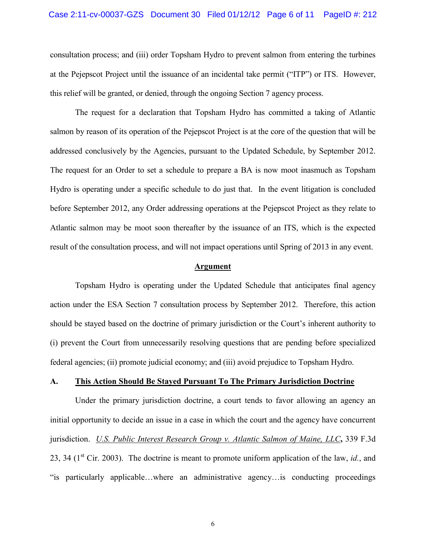## Case 2:11-cv-00037-GZS Document 30 Filed 01/12/12 Page 6 of 11 PageID #: 212

consultation process; and (iii) order Topsham Hydro to prevent salmon from entering the turbines at the Pejepscot Project until the issuance of an incidental take permit ("ITP") or ITS. However, this relief will be granted, or denied, through the ongoing Section 7 agency process.

The request for a declaration that Topsham Hydro has committed a taking of Atlantic salmon by reason of its operation of the Pejepscot Project is at the core of the question that will be addressed conclusively by the Agencies, pursuant to the Updated Schedule, by September 2012. The request for an Order to set a schedule to prepare a BA is now moot inasmuch as Topsham Hydro is operating under a specific schedule to do just that. In the event litigation is concluded before September 2012, any Order addressing operations at the Pejepscot Project as they relate to Atlantic salmon may be moot soon thereafter by the issuance of an ITS, which is the expected result of the consultation process, and will not impact operations until Spring of 2013 in any event.

#### **Argument**

Topsham Hydro is operating under the Updated Schedule that anticipates final agency action under the ESA Section 7 consultation process by September 2012. Therefore, this action should be stayed based on the doctrine of primary jurisdiction or the Court's inherent authority to (i) prevent the Court from unnecessarily resolving questions that are pending before specialized federal agencies; (ii) promote judicial economy; and (iii) avoid prejudice to Topsham Hydro.

## **A. This Action Should Be Stayed Pursuant To The Primary Jurisdiction Doctrine**

Under the primary jurisdiction doctrine, a court tends to favor allowing an agency an initial opportunity to decide an issue in a case in which the court and the agency have concurrent jurisdiction. *U.S. Public Interest Research Group v. Atlantic Salmon of Maine, LLC***,** 339 F.3d 23, 34 ( $1<sup>st</sup>$  Cir. 2003). The doctrine is meant to promote uniform application of the law, *id.*, and "is particularly applicable…where an administrative agency…is conducting proceedings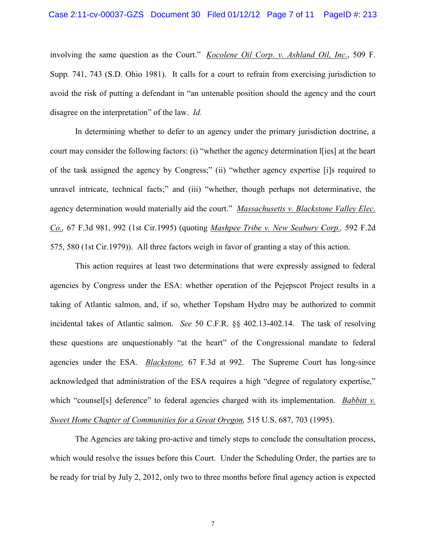### Case 2:11-cv-00037-GZS Document 30 Filed 01/12/12 Page 7 of 11 PageID #: 213

involving the same question as the Court." *Kocolene Oil Corp. v. Ashland Oil, Inc.*, 509 F. Supp. 741, 743 (S.D. Ohio 1981). It calls for a court to refrain from exercising jurisdiction to avoid the risk of putting a defendant in "an untenable position should the agency and the court disagree on the interpretation" of the law. *Id.*

In determining whether to defer to an agency under the primary jurisdiction doctrine, a court may consider the following factors: (i) "whether the agency determination l[ies] at the heart of the task assigned the agency by Congress;" (ii) "whether agency expertise [i]s required to unravel intricate, technical facts;" and (iii) "whether, though perhaps not determinative, the agency determination would materially aid the court." *Massachusetts v. Blackstone Valley Elec. Co.,* 67 F.3d 981, 992 (1st Cir.1995) (quoting *Mashpee Tribe v. New Seabury Corp.,* 592 F.2d 575, 580 (1st Cir.1979)). All three factors weigh in favor of granting a stay of this action.

This action requires at least two determinations that were expressly assigned to federal agencies by Congress under the ESA: whether operation of the Pejepscot Project results in a taking of Atlantic salmon, and, if so, whether Topsham Hydro may be authorized to commit incidental takes of Atlantic salmon. *See* 50 C.F.R. §§ 402.13-402.14. The task of resolving these questions are unquestionably "at the heart" of the Congressional mandate to federal agencies under the ESA. *Blackstone,* 67 F.3d at 992. The Supreme Court has long-since acknowledged that administration of the ESA requires a high "degree of regulatory expertise," which "counsel[s] deference" to federal agencies charged with its implementation. *Babbitt v. Sweet Home Chapter of Communities for a Great Oregon,* 515 U.S. 687, 703 (1995).

The Agencies are taking pro-active and timely steps to conclude the consultation process, which would resolve the issues before this Court. Under the Scheduling Order, the parties are to be ready for trial by July 2, 2012, only two to three months before final agency action is expected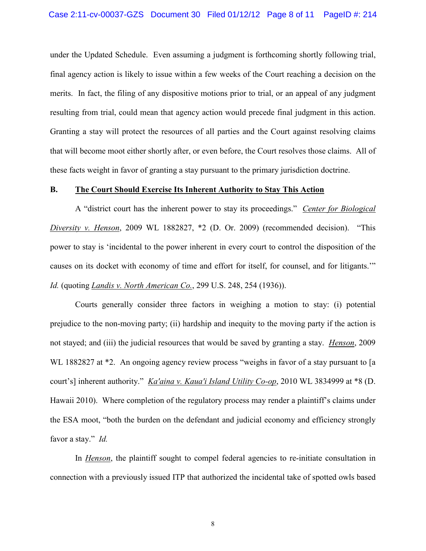# Case 2:11-cv-00037-GZS Document 30 Filed 01/12/12 Page 8 of 11 PageID #: 214

under the Updated Schedule. Even assuming a judgment is forthcoming shortly following trial, final agency action is likely to issue within a few weeks of the Court reaching a decision on the merits. In fact, the filing of any dispositive motions prior to trial, or an appeal of any judgment resulting from trial, could mean that agency action would precede final judgment in this action. Granting a stay will protect the resources of all parties and the Court against resolving claims that will become moot either shortly after, or even before, the Court resolves those claims. All of these facts weight in favor of granting a stay pursuant to the primary jurisdiction doctrine.

## **B. The Court Should Exercise Its Inherent Authority to Stay This Action**

A "district court has the inherent power to stay its proceedings." *Center for Biological Diversity v. Henson*, 2009 WL 1882827, \*2 (D. Or. 2009) (recommended decision). "This power to stay is 'incidental to the power inherent in every court to control the disposition of the causes on its docket with economy of time and effort for itself, for counsel, and for litigants.'" *Id.* (quoting *Landis v. North American Co.*, 299 U.S. 248, 254 (1936)).

Courts generally consider three factors in weighing a motion to stay: (i) potential prejudice to the non-moving party; (ii) hardship and inequity to the moving party if the action is not stayed; and (iii) the judicial resources that would be saved by granting a stay. *Henson*, 2009 WL 1882827 at \*2. An ongoing agency review process "weighs in favor of a stay pursuant to [a] court's] inherent authority." *Ka'aina v. Kaua'i Island Utility Co-op*, 2010 WL 3834999 at \*8 (D. Hawaii 2010). Where completion of the regulatory process may render a plaintiff's claims under the ESA moot, "both the burden on the defendant and judicial economy and efficiency strongly favor a stay." *Id.* 

In *Henson*, the plaintiff sought to compel federal agencies to re-initiate consultation in connection with a previously issued ITP that authorized the incidental take of spotted owls based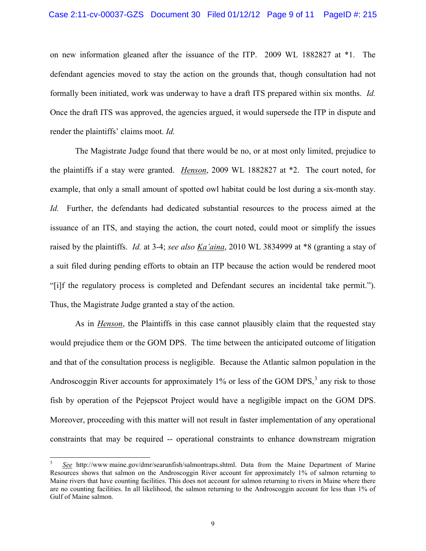on new information gleaned after the issuance of the ITP. 2009 WL 1882827 at \*1. The defendant agencies moved to stay the action on the grounds that, though consultation had not formally been initiated, work was underway to have a draft ITS prepared within six months. *Id.* Once the draft ITS was approved, the agencies argued, it would supersede the ITP in dispute and render the plaintiffs' claims moot. *Id.*

The Magistrate Judge found that there would be no, or at most only limited, prejudice to the plaintiffs if a stay were granted. *Henson*, 2009 WL 1882827 at \*2. The court noted, for example, that only a small amount of spotted owl habitat could be lost during a six-month stay. *Id.* Further, the defendants had dedicated substantial resources to the process aimed at the issuance of an ITS, and staying the action, the court noted, could moot or simplify the issues raised by the plaintiffs. *Id.* at 3-4; *see also Ka'aina*, 2010 WL 3834999 at \*8 (granting a stay of a suit filed during pending efforts to obtain an ITP because the action would be rendered moot "[i]f the regulatory process is completed and Defendant secures an incidental take permit."). Thus, the Magistrate Judge granted a stay of the action.

As in *Henson*, the Plaintiffs in this case cannot plausibly claim that the requested stay would prejudice them or the GOM DPS. The time between the anticipated outcome of litigation and that of the consultation process is negligible. Because the Atlantic salmon population in the Androscoggin River accounts for approximately  $1\%$  or less of the GOM DPS, $3$  any risk to those fish by operation of the Pejepscot Project would have a negligible impact on the GOM DPS. Moreover, proceeding with this matter will not result in faster implementation of any operational constraints that may be required -- operational constraints to enhance downstream migration

 $\overline{a}$ 

<sup>3</sup>  *See* http://www maine.gov/dmr/searunfish/salmontraps.shtml. Data from the Maine Department of Marine Resources shows that salmon on the Androscoggin River account for approximately 1% of salmon returning to Maine rivers that have counting facilities. This does not account for salmon returning to rivers in Maine where there are no counting facilities. In all likelihood, the salmon returning to the Androscoggin account for less than 1% of Gulf of Maine salmon.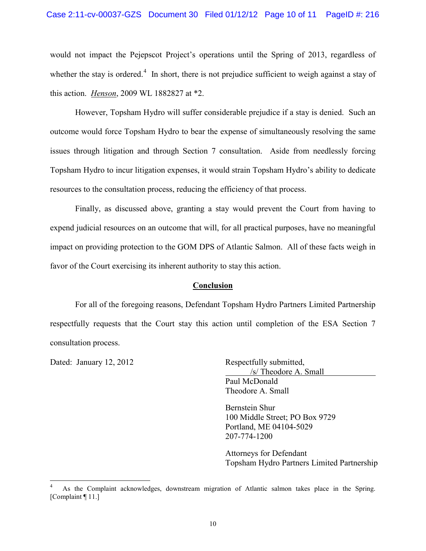# Case 2:11-cv-00037-GZS Document 30 Filed 01/12/12 Page 10 of 11 PageID #: 216

would not impact the Pejepscot Project's operations until the Spring of 2013, regardless of whether the stay is ordered. $4\,$  In short, there is not prejudice sufficient to weigh against a stay of this action. *Henson*, 2009 WL 1882827 at \*2.

However, Topsham Hydro will suffer considerable prejudice if a stay is denied. Such an outcome would force Topsham Hydro to bear the expense of simultaneously resolving the same issues through litigation and through Section 7 consultation. Aside from needlessly forcing Topsham Hydro to incur litigation expenses, it would strain Topsham Hydro's ability to dedicate resources to the consultation process, reducing the efficiency of that process.

Finally, as discussed above, granting a stay would prevent the Court from having to expend judicial resources on an outcome that will, for all practical purposes, have no meaningful impact on providing protection to the GOM DPS of Atlantic Salmon. All of these facts weigh in favor of the Court exercising its inherent authority to stay this action.

# **Conclusion**

For all of the foregoing reasons, Defendant Topsham Hydro Partners Limited Partnership respectfully requests that the Court stay this action until completion of the ESA Section 7 consultation process.

Dated: January 12, 2012 Respectfully submitted, /s/ Theodore A. Small Paul McDonald Theodore A. Small

> Bernstein Shur 100 Middle Street; PO Box 9729 Portland, ME 04104-5029 207-774-1200

Attorneys for Defendant Topsham Hydro Partners Limited Partnership

 <sup>4</sup> As the Complaint acknowledges, downstream migration of Atlantic salmon takes place in the Spring. [Complaint ¶ 11.]